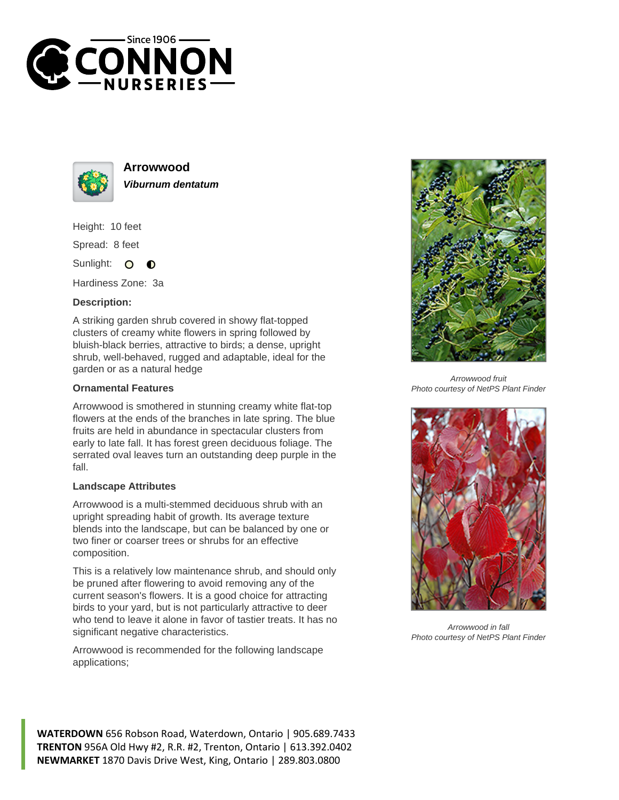



**Arrowwood Viburnum dentatum**

Height: 10 feet

Spread: 8 feet

Sunlight: O  $\bullet$ 

Hardiness Zone: 3a

## **Description:**

A striking garden shrub covered in showy flat-topped clusters of creamy white flowers in spring followed by bluish-black berries, attractive to birds; a dense, upright shrub, well-behaved, rugged and adaptable, ideal for the garden or as a natural hedge

## **Ornamental Features**

Arrowwood is smothered in stunning creamy white flat-top flowers at the ends of the branches in late spring. The blue fruits are held in abundance in spectacular clusters from early to late fall. It has forest green deciduous foliage. The serrated oval leaves turn an outstanding deep purple in the fall.

## **Landscape Attributes**

Arrowwood is a multi-stemmed deciduous shrub with an upright spreading habit of growth. Its average texture blends into the landscape, but can be balanced by one or two finer or coarser trees or shrubs for an effective composition.

This is a relatively low maintenance shrub, and should only be pruned after flowering to avoid removing any of the current season's flowers. It is a good choice for attracting birds to your yard, but is not particularly attractive to deer who tend to leave it alone in favor of tastier treats. It has no significant negative characteristics.

Arrowwood is recommended for the following landscape applications;



Arrowwood fruit Photo courtesy of NetPS Plant Finder



Arrowwood in fall Photo courtesy of NetPS Plant Finder

**WATERDOWN** 656 Robson Road, Waterdown, Ontario | 905.689.7433 **TRENTON** 956A Old Hwy #2, R.R. #2, Trenton, Ontario | 613.392.0402 **NEWMARKET** 1870 Davis Drive West, King, Ontario | 289.803.0800